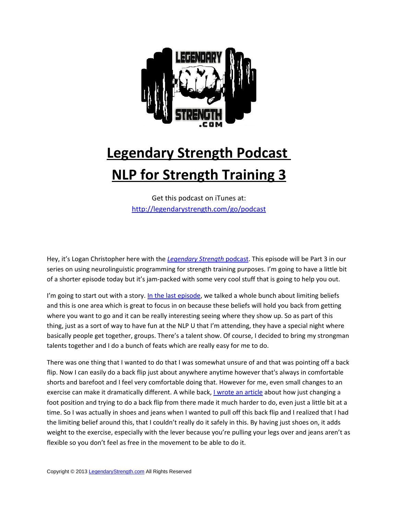

## **Legendary Strength Podcast NLP for Strength Training 3**

Get this podcast on iTunes at: <http://legendarystrength.com/go/podcast>

Hey, it's Logan Christopher here with the *[Legendary Strength](http://legendarystrength.com/category/podcasts/)* podcast. This episode will be Part 3 in our series on using neurolinguistic programming for strength training purposes. I'm going to have a little bit of a shorter episode today but it's jam-packed with some very cool stuff that is going to help you out.

I'm going to start out with a story. [In the last episode,](http://legendarystrength.com/podcast-nlp-for-strength-training-part-2/) we talked a whole bunch about limiting beliefs and this is one area which is great to focus in on because these beliefs will hold you back from getting where you want to go and it can be really interesting seeing where they show up. So as part of this thing, just as a sort of way to have fun at the NLP U that I'm attending, they have a special night where basically people get together, groups. There's a talent show. Of course, I decided to bring my strongman talents together and I do a bunch of feats which are really easy for me to do.

There was one thing that I wanted to do that I was somewhat unsure of and that was pointing off a back flip. Now I can easily do a back flip just about anywhere anytime however that's always in comfortable shorts and barefoot and I feel very comfortable doing that. However for me, even small changes to an exercise can make it dramatically different. A while back, [I wrote an article](http://legendarystrength.com/handstand-articles/different-stances-for-greater-control/) about how just changing a foot position and trying to do a back flip from there made it much harder to do, even just a little bit at a time. So I was actually in shoes and jeans when I wanted to pull off this back flip and I realized that I had the limiting belief around this, that I couldn't really do it safely in this. By having just shoes on, it adds weight to the exercise, especially with the lever because you're pulling your legs over and jeans aren't as flexible so you don't feel as free in the movement to be able to do it.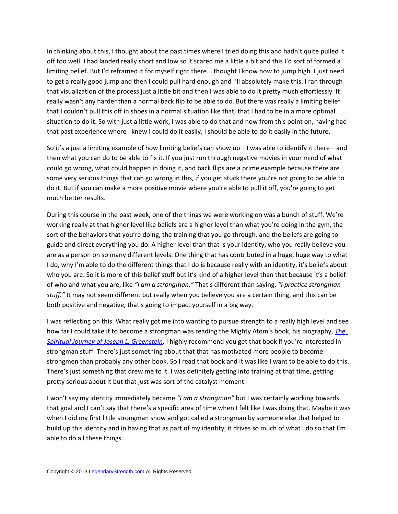In thinking about this, I thought about the past times where I tried doing this and hadn't quite pulled it off too well. I had landed really short and low so it scared me a little a bit and this I'd sort of formed a limiting belief. But I'd reframed it for myself right there. I thought I know how to jump high. I just need to get a really good jump and then I could pull hard enough and I'll absolutely make this. I ran through that visualization of the process just a little bit and then I was able to do it pretty much effortlessly. It really wasn't any harder than a normal back flip to be able to do. But there was really a limiting belief that I couldn't pull this off in shoes in a normal situation like that, that I had to be in a more optimal situation to do it. So with just a little work, I was able to do that and now from this point on, having had that past experience where I knew I could do it easily, I should be able to do it easily in the future.

So it's a just a limiting example of how limiting beliefs can show up—I was able to identify it there—and then what you can do to be able to fix it. If you just run through negative movies in your mind of what could go wrong, what could happen in doing it, and back flips are a prime example because there are some very serious things that can go wrong in this, if you get stuck there you're not going to be able to do it. But if you can make a more positive movie where you're able to pull it off, you're going to get much better results.

During this course in the past week, one of the things we were working on was a bunch of stuff. We're working really at that higher level like beliefs are a higher level than what you're doing in the gym, the sort of the behaviors that you're doing, the training that you go through, and the beliefs are going to guide and direct everything you do. A higher level than that is your identity, who you really believe you are as a person on so many different levels. One thing that has contributed in a huge, huge way to what I do, why I'm able to do the different things that I do is because really with an identity, it's beliefs about who you are. So it is more of this belief stuff but it's kind of a higher level than that because it's a belief of who and what you are, like *"I am a strongman."* That's different than saying, *"I practice strongman stuff."* It may not seem different but really when you believe you are a certain thing, and this can be both positive and negative, that's going to impact yourself in a big way.

I was reflecting on this. What really got me into wanting to pursue strength to a really high level and see how far I could take it to become a strongman was reading the Mighty Atom's book, his biography, *[The](http://legendarystrength.com/go/mightyatom) [Spiritual Journey of Joseph L. Greenstein.](http://legendarystrength.com/go/mightyatom)* I highly recommend you get that book if you're interested in strongman stuff. There's just something about that that has motivated more people to become strongmen than probably any other book. So I read that book and it was like I want to be able to do this. There's just something that drew me to it. I was definitely getting into training at that time, getting pretty serious about it but that just was sort of the catalyst moment.

I won't say my identity immediately became *"I am a strongman"* but I was certainly working towards that goal and I can't say that there's a specific area of time when I felt like I was doing that. Maybe it was when I did my first little strongman show and got called a strongman by someone else that helped to build up this identity and in having that as part of my identity, it drives so much of what I do so that I'm able to do all these things.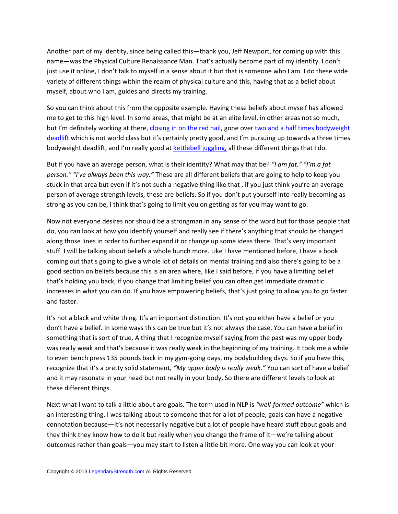Another part of my identity, since being called this—thank you, Jeff Newport, for coming up with this name—was the Physical Culture Renaissance Man. That's actually become part of my identity. I don't just use it online, I don't talk to myself in a sense about it but that is someone who I am. I do these wide variety of different things within the realm of physical culture and this, having that as a belief about myself, about who I am, guides and directs my training.

So you can think about this from the opposite example. Having these beliefs about myself has allowed me to get to this high level. In some areas, that might be at an elite level, in other areas not so much, but I'm definitely working at there, [closing in on the red nail,](http://legendarystrength.com/grade-8-bolts/) gone over [two and a half times bodyweight](http://legendarystrength.com/505-lb-deadlift-again/) [deadlift](http://legendarystrength.com/505-lb-deadlift-again/) which is not world class but it's certainly pretty good, and I'm pursuing up towards a three times bodyweight deadlift, and I'm really good at [kettlebell juggling,](http://kettlebelljuggling.com/) all these different things that I do.

But if you have an average person, what is their identity? What may that be? *"I am fat." "I'm a fat person." "I've always been this way."* These are all different beliefs that are going to help to keep you stuck in that area but even if it's not such a negative thing like that , if you just think you're an average person of average strength levels, these are beliefs. So if you don't put yourself into really becoming as strong as you can be, I think that's going to limit you on getting as far you may want to go.

Now not everyone desires nor should be a strongman in any sense of the word but for those people that do, you can look at how you identify yourself and really see if there's anything that should be changed along those lines in order to further expand it or change up some ideas there. That's very important stuff. I will be talking about beliefs a whole bunch more. Like I have mentioned before, I have a book coming out that's going to give a whole lot of details on mental training and also there's going to be a good section on beliefs because this is an area where, like I said before, if you have a limiting belief that's holding you back, if you change that limiting belief you can often get immediate dramatic increases in what you can do. If you have empowering beliefs, that's just going to allow you to go faster and faster.

It's not a black and white thing. It's an important distinction. It's not you either have a belief or you don't have a belief. In some ways this can be true but it's not always the case. You can have a belief in something that is sort of true. A thing that I recognize myself saying from the past was my upper body was really weak and that's because it was really weak in the beginning of my training. It took me a while to even bench press 135 pounds back in my gym-going days, my bodybuilding days. So if you have this, recognize that it's a pretty solid statement*, "My upper body is really weak."* You can sort of have a belief and it may resonate in your head but not really in your body. So there are different levels to look at these different things.

Next what I want to talk a little about are goals. The term used in NLP is *"well-formed outcome"* which is an interesting thing. I was talking about to someone that for a lot of people, goals can have a negative connotation because—it's not necessarily negative but a lot of people have heard stuff about goals and they think they know how to do it but really when you change the frame of it—we're talking about outcomes rather than goals—you may start to listen a little bit more. One way you can look at your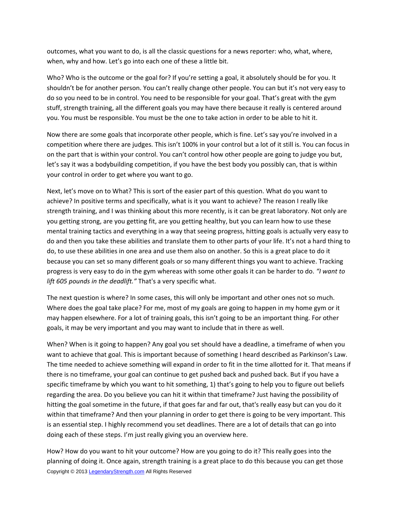outcomes, what you want to do, is all the classic questions for a news reporter: who, what, where, when, why and how. Let's go into each one of these a little bit.

Who? Who is the outcome or the goal for? If you're setting a goal, it absolutely should be for you. It shouldn't be for another person. You can't really change other people. You can but it's not very easy to do so you need to be in control. You need to be responsible for your goal. That's great with the gym stuff, strength training, all the different goals you may have there because it really is centered around you. You must be responsible. You must be the one to take action in order to be able to hit it.

Now there are some goals that incorporate other people, which is fine. Let's say you're involved in a competition where there are judges. This isn't 100% in your control but a lot of it still is. You can focus in on the part that is within your control. You can't control how other people are going to judge you but, let's say it was a bodybuilding competition, if you have the best body you possibly can, that is within your control in order to get where you want to go.

Next, let's move on to What? This is sort of the easier part of this question. What do you want to achieve? In positive terms and specifically, what is it you want to achieve? The reason I really like strength training, and I was thinking about this more recently, is it can be great laboratory. Not only are you getting strong, are you getting fit, are you getting healthy, but you can learn how to use these mental training tactics and everything in a way that seeing progress, hitting goals is actually very easy to do and then you take these abilities and translate them to other parts of your life. It's not a hard thing to do, to use these abilities in one area and use them also on another. So this is a great place to do it because you can set so many different goals or so many different things you want to achieve. Tracking progress is very easy to do in the gym whereas with some other goals it can be harder to do. *"I want to lift 605 pounds in the deadlift."* That's a very specific what.

The next question is where? In some cases, this will only be important and other ones not so much. Where does the goal take place? For me, most of my goals are going to happen in my home gym or it may happen elsewhere. For a lot of training goals, this isn't going to be an important thing. For other goals, it may be very important and you may want to include that in there as well.

When? When is it going to happen? Any goal you set should have a deadline, a timeframe of when you want to achieve that goal. This is important because of something I heard described as Parkinson's Law. The time needed to achieve something will expand in order to fit in the time allotted for it. That means if there is no timeframe, your goal can continue to get pushed back and pushed back. But if you have a specific timeframe by which you want to hit something, 1) that's going to help you to figure out beliefs regarding the area. Do you believe you can hit it within that timeframe? Just having the possibility of hitting the goal sometime in the future, if that goes far and far out, that's really easy but can you do it within that timeframe? And then your planning in order to get there is going to be very important. This is an essential step. I highly recommend you set deadlines. There are a lot of details that can go into doing each of these steps. I'm just really giving you an overview here.

How? How do you want to hit your outcome? How are you going to do it? This really goes into the planning of doing it. Once again, strength training is a great place to do this because you can get those Copyright © 2013 [LegendaryStrength.com](http://www.LegendaryStrength.com/) All Rights Reserved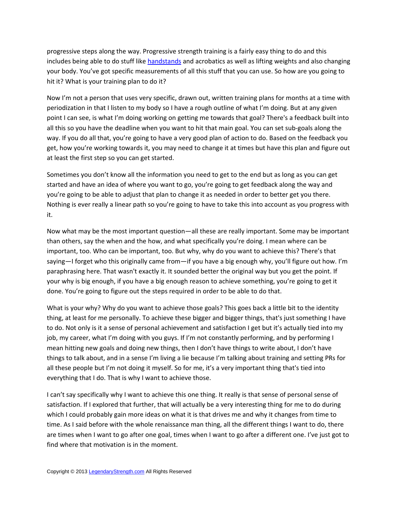progressive steps along the way. Progressive strength training is a fairly easy thing to do and this includes being able to do stuff like [handstands](http://legendarystrength.com/handstand-articles/how-to-do-a-handstand/) and acrobatics as well as lifting weights and also changing your body. You've got specific measurements of all this stuff that you can use. So how are you going to hit it? What is your training plan to do it?

Now I'm not a person that uses very specific, drawn out, written training plans for months at a time with periodization in that I listen to my body so I have a rough outline of what I'm doing. But at any given point I can see, is what I'm doing working on getting me towards that goal? There's a feedback built into all this so you have the deadline when you want to hit that main goal. You can set sub-goals along the way. If you do all that, you're going to have a very good plan of action to do. Based on the feedback you get, how you're working towards it, you may need to change it at times but have this plan and figure out at least the first step so you can get started.

Sometimes you don't know all the information you need to get to the end but as long as you can get started and have an idea of where you want to go, you're going to get feedback along the way and you're going to be able to adjust that plan to change it as needed in order to better get you there. Nothing is ever really a linear path so you're going to have to take this into account as you progress with it.

Now what may be the most important question—all these are really important. Some may be important than others, say the when and the how, and what specifically you're doing. I mean where can be important, too. Who can be important, too. But why, why do you want to achieve this? There's that saying—I forget who this originally came from—if you have a big enough why, you'll figure out how. I'm paraphrasing here. That wasn't exactly it. It sounded better the original way but you get the point. If your why is big enough, if you have a big enough reason to achieve something, you're going to get it done. You're going to figure out the steps required in order to be able to do that.

What is your why? Why do you want to achieve those goals? This goes back a little bit to the identity thing, at least for me personally. To achieve these bigger and bigger things, that's just something I have to do. Not only is it a sense of personal achievement and satisfaction I get but it's actually tied into my job, my career, what I'm doing with you guys. If I'm not constantly performing, and by performing I mean hitting new goals and doing new things, then I don't have things to write about, I don't have things to talk about, and in a sense I'm living a lie because I'm talking about training and setting PRs for all these people but I'm not doing it myself. So for me, it's a very important thing that's tied into everything that I do. That is why I want to achieve those.

I can't say specifically why I want to achieve this one thing. It really is that sense of personal sense of satisfaction. If I explored that further, that will actually be a very interesting thing for me to do during which I could probably gain more ideas on what it is that drives me and why it changes from time to time. As I said before with the whole renaissance man thing, all the different things I want to do, there are times when I want to go after one goal, times when I want to go after a different one. I've just got to find where that motivation is in the moment.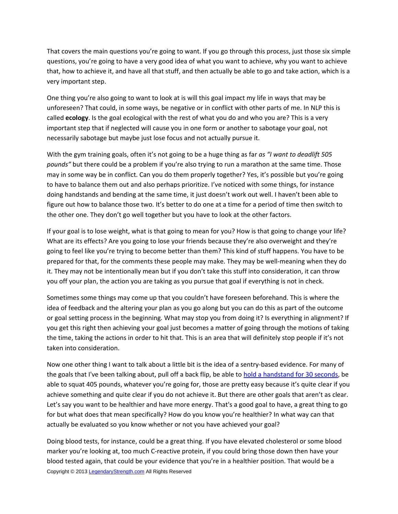That covers the main questions you're going to want. If you go through this process, just those six simple questions, you're going to have a very good idea of what you want to achieve, why you want to achieve that, how to achieve it, and have all that stuff, and then actually be able to go and take action, which is a very important step.

One thing you're also going to want to look at is will this goal impact my life in ways that may be unforeseen? That could, in some ways, be negative or in conflict with other parts of me. In NLP this is called **ecology**. Is the goal ecological with the rest of what you do and who you are? This is a very important step that if neglected will cause you in one form or another to sabotage your goal, not necessarily sabotage but maybe just lose focus and not actually pursue it.

With the gym training goals, often it's not going to be a huge thing as far *as "I want to deadlift 505 pounds"* but there could be a problem if you're also trying to run a marathon at the same time. Those may in some way be in conflict. Can you do them properly together? Yes, it's possible but you're going to have to balance them out and also perhaps prioritize. I've noticed with some things, for instance doing handstands and bending at the same time, it just doesn't work out well. I haven't been able to figure out how to balance those two. It's better to do one at a time for a period of time then switch to the other one. They don't go well together but you have to look at the other factors.

If your goal is to lose weight, what is that going to mean for you? How is that going to change your life? What are its effects? Are you going to lose your friends because they're also overweight and they're going to feel like you're trying to become better than them? This kind of stuff happens. You have to be prepared for that, for the comments these people may make. They may be well-meaning when they do it. They may not be intentionally mean but if you don't take this stuff into consideration, it can throw you off your plan, the action you are taking as you pursue that goal if everything is not in check.

Sometimes some things may come up that you couldn't have foreseen beforehand. This is where the idea of feedback and the altering your plan as you go along but you can do this as part of the outcome or goal setting process in the beginning. What may stop you from doing it? Is everything in alignment? If you get this right then achieving your goal just becomes a matter of going through the motions of taking the time, taking the actions in order to hit that. This is an area that will definitely stop people if it's not taken into consideration.

Now one other thing I want to talk about a little bit is the idea of a sentry-based evidence. For many of the goals that I've been talking about, pull off a back flip, be able to [hold a handstand for 30 seconds,](http://legendarystrength.com/how-to-hold-a-handstand-for-a-long-time/) be able to squat 405 pounds, whatever you're going for, those are pretty easy because it's quite clear if you achieve something and quite clear if you do not achieve it. But there are other goals that aren't as clear. Let's say you want to be healthier and have more energy. That's a good goal to have, a great thing to go for but what does that mean specifically? How do you know you're healthier? In what way can that actually be evaluated so you know whether or not you have achieved your goal?

Doing blood tests, for instance, could be a great thing. If you have elevated cholesterol or some blood marker you're looking at, too much C-reactive protein, if you could bring those down then have your blood tested again, that could be your evidence that you're in a healthier position. That would be a Copyright © 2013 [LegendaryStrength.com](http://www.LegendaryStrength.com/) All Rights Reserved